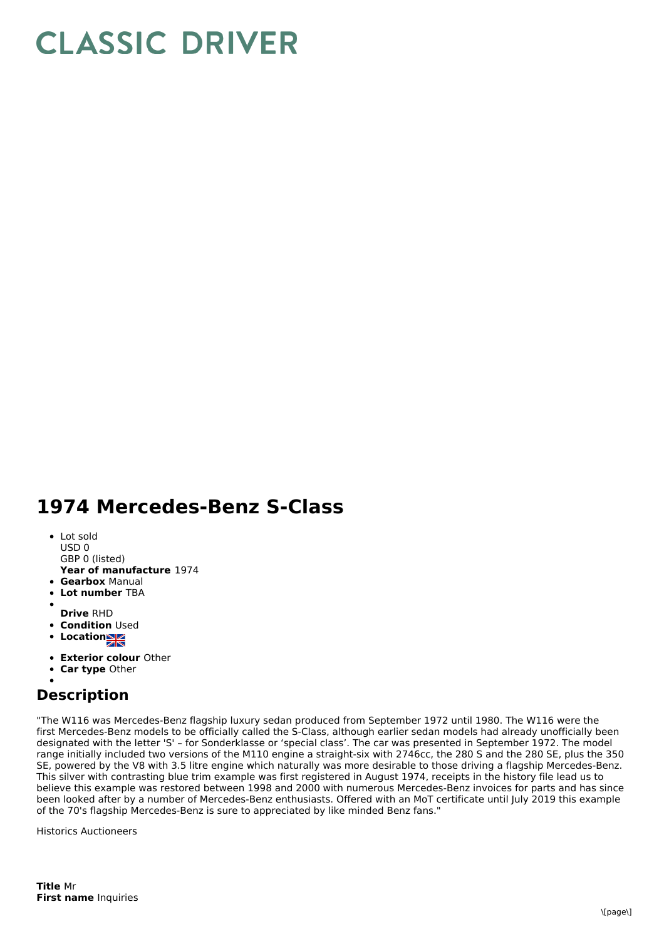## **CLASSIC DRIVER**

## **1974 Mercedes-Benz S-Class**

- Lot sold USD 0
- GBP 0 (listed)
- **Year of manufacture** 1974
- **Gearbox** Manual
- **Lot number** TBA
- 
- **Drive** RHD
- **Condition** Used • Location<sub>NK</sub>
- 
- **Exterior colour** Other
- **Car type** Other

## **Description**

"The W116 was Mercedes-Benz flagship luxury sedan produced from September 1972 until 1980. The W116 were the first Mercedes-Benz models to be officially called the S-Class, although earlier sedan models had already unofficially been designated with the letter 'S' – for Sonderklasse or 'special class'. The car was presented in September 1972. The model range initially included two versions of the M110 engine a straight-six with 2746cc, the 280 S and the 280 SE, plus the 350 SE, powered by the V8 with 3.5 litre engine which naturally was more desirable to those driving a flagship Mercedes-Benz. This silver with contrasting blue trim example was first registered in August 1974, receipts in the history file lead us to believe this example was restored between 1998 and 2000 with numerous Mercedes-Benz invoices for parts and has since been looked after by a number of Mercedes-Benz enthusiasts. Offered with an MoT certificate until July 2019 this example of the 70's flagship Mercedes-Benz is sure to appreciated by like minded Benz fans."

Historics Auctioneers